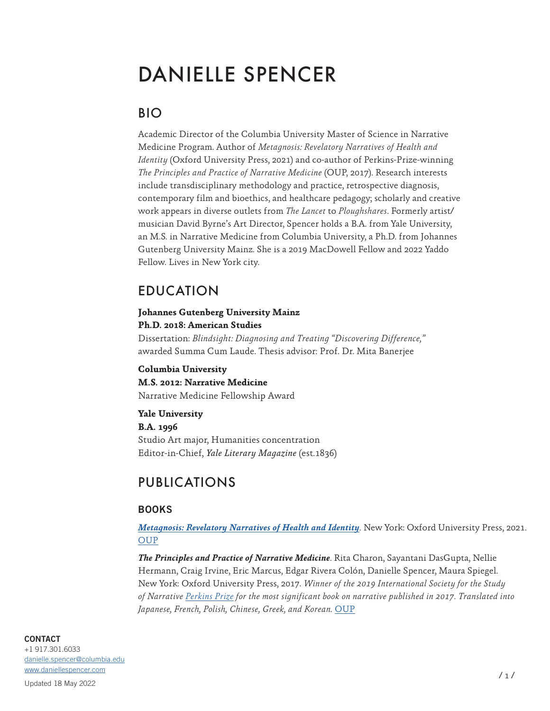# DANIELLE SPENCER

# BIO

Academic Director of the Columbia University Master of Science in Narrative Medicine Program. Author of *Metagnosis: Revelatory Narratives of Health and Identity* (Oxford University Press, 2021) and co-author of Perkins-Prize-winning *The Principles and Practice of Narrative Medicine* (OUP, 2017). Research interests include transdisciplinary methodology and practice, retrospective diagnosis, contemporary film and bioethics, and healthcare pedagogy; scholarly and creative work appears in diverse outlets from *The Lancet* to *Ploughshares*. Formerly artist/ musician David Byrne's Art Director, Spencer holds a B.A. from Yale University, an M.S. in Narrative Medicine from Columbia University, a Ph.D. from Johannes Gutenberg University Mainz. She is a 2019 MacDowell Fellow and 2022 Yaddo Fellow. Lives in New York city.

# EDUCATION

#### **Johannes Gutenberg University Mainz Ph.D. 2018: American Studies**

Dissertation: *Blindsight: Diagnosing and Treating "Discovering Difference,"*  awarded Summa Cum Laude. Thesis advisor: Prof. Dr. Mita Banerjee

**Columbia University**

**M.S. 2012: Narrative Medicine** Narrative Medicine Fellowship Award

**Yale University**

**B.A. 1996** Studio Art major, Humanities concentration Editor-in-Chief, *Yale Literary Magazine* (est.1836)

# PUBLICATIONS

# **BOOKS**

*[Metagnosis: Revelatory Narratives of Health and Identity](http://www.daniellespencer.com/metagnosis)*. New York: Oxford University Press, 2021. [OUP](https://global.oup.com/academic/product/metagnosis-9780197510766?cc=us&lang=en&)

*The Principles and Practice of Narrative Medicine*. Rita Charon, Sayantani DasGupta, Nellie Hermann, Craig Irvine, Eric Marcus, Edgar Rivera Colón, Danielle Spencer, Maura Spiegel. New York: Oxford University Press, 2017. *Winner of the 2019 International Society for the Study of Narrative [Perkins Prize](http://narrative.georgetown.edu/awards/perkins.php) for the most significant book on narrative published in 2017. Translated into Japanese, French, Polish, Chinese, Greek, and Korean.* [OUP](https://global.oup.com/academic/product/the-principles-and-practice-of-narrative-medicine-9780199360192)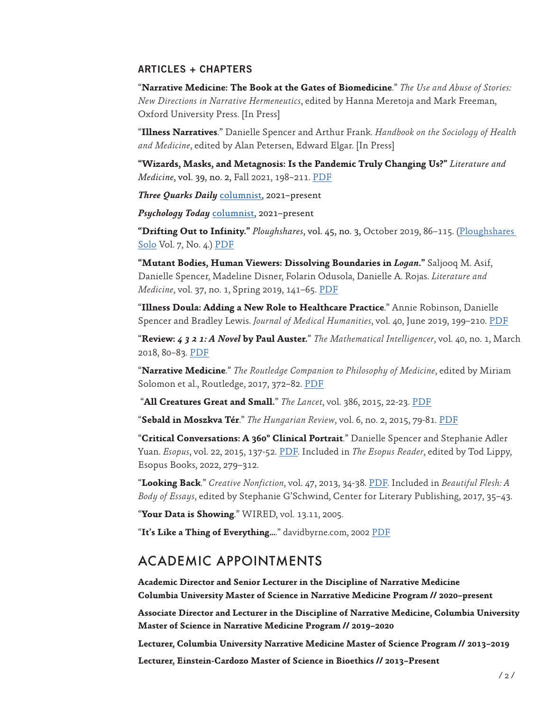# **ARTICLES + CHAPTERS**

"**Narrative Medicine: The Book at the Gates of Biomedicine**." *The Use and Abuse of Stories: New Directions in Narrative Hermeneutics*, edited by Hanna Meretoja and Mark Freeman, Oxford University Press. [In Press]

"**Illness Narratives**." Danielle Spencer and Arthur Frank. *Handbook on the Sociology of Health and Medicine*, edited by Alan Petersen, Edward Elgar. [In Press]

**"Wizards, Masks, and Metagnosis: Is the Pandemic Truly Changing Us?"** *Literature and Medicine*, vol. 39, no. 2, Fall 2021, 198–211. [PDF](https://e1e65561-89ba-47c5-ab35-b0c7c1ba621a.filesusr.com/ugd/d4a38b_95cc0ff235014ef3ac94586603a29b1f.pdf)

*Three Quarks Daily* [columnist](https://3quarksdaily.com/3quarksdaily/author/daniellespencer), 2021–present

*Psychology Today* [columnist](https://www.psychologytoday.com/us/contributors/danielle-spencer-phd), 2021–present

**"Drifting Out to Infinity."** *Ploughshares*, vol. 45, no. 3, October 2019, 86–115. [\(Ploughshares](https://www.pshares.org/solos/drifting-out-infinity)  [Solo](https://www.pshares.org/solos/drifting-out-infinity) Vol. 7, No. 4.) [PDF](https://e1e65561-89ba-47c5-ab35-b0c7c1ba621a.filesusr.com/ugd/d4a38b_533b68025f0743a6b16eb5de1762ee87.pdf)

**"Mutant Bodies, Human Viewers: Dissolving Boundaries in** *Logan***."** Saljooq M. Asif, Danielle Spencer, Madeline Disner, Folarin Odusola, Danielle A. Rojas. *Literature and Medicine*, vol. 37, no. 1, Spring 2019, 141–65. [PDF](https://static.wixstatic.com/ugd/d4a38b_0c47f12de0bf48c89ab426c552dfd1d6.pdf)

"**Illness Doula: Adding a New Role to Healthcare Practice**." Annie Robinson, Danielle Spencer and Bradley Lewis. *Journal of Medical Humanities*, vol. 40, June 2019, 199–210. [PDF](https://static.wixstatic.com/ugd/d4a38b_dbdaca8f9f834554ac07aa796d0306dd.pdf)

"**Review:** *4 3 2 1: A Novel* **by Paul Auster.**" *The Mathematical Intelligencer*, vol. 40, no. 1, March 2018, 80–83. [PDF](https://docs.wixstatic.com/ugd/d4a38b_4f94b824b2d742f18eb4332d7052488f.pdf)

"**Narrative Medicine**." *The Routledge Companion to Philosophy of Medicine*, edited by Miriam Solomon et al., Routledge, 2017, 372–82. [PDF](https://www.daniellespencer.com/_files/ugd/d4a38b_2290af53c5e04a1bbec1700abf6e1638.pdf?index=true)

"**All Creatures Great and Small.**" *The Lancet*, vol. 386, 2015, 22-23. [PDF](https://docs.wixstatic.com/ugd/d4a38b_142edd14e018420491098b6b46c7415d.pdf)

"**Sebald in Moszkva Tér**." *The Hungarian Review*, vol. 6, no. 2, 2015, 79-81. [PDF](https://docs.wixstatic.com/ugd/d4a38b_aa5638604ee74c71a606967804925554.pdf)

"**Critical Conversations: A 360º Clinical Portrait**." Danielle Spencer and Stephanie Adler Yuan. *Esopus*, vol. 22, 2015, 137-52. [PDF.](https://docs.wixstatic.com/ugd/d4a38b_ff220fe6cac04093bb188fbc06bed06a.pdf) Included in *The Esopus Reader*, edited by Tod Lippy, Esopus Books, 2022, 279–312.

"**Looking Back**." *Creative Nonfiction*, vol. 47, 2013, 34-38. [PDF](https://docs.wixstatic.com/ugd/d4a38b_4388a8a7c44449a3b6ebce75dc0557e2.pdf). Included in *Beautiful Flesh: A Body of Essays*, edited by Stephanie G'Schwind, Center for Literary Publishing, 2017, 35–43.

"**Your Data is Showing**." WIRED, vol. 13.11, 2005.

"**It's Like a Thing of Everything…**." davidbyrne.com, 2002 [PDF](https://docs.wixstatic.com/ugd/d4a38b_25e7677a28e14a22b5a63cc10d151329.pdf)

# ACADEMIC APPOINTMENTS

**Academic Director and Senior Lecturer in the Discipline of Narrative Medicine Columbia University Master of Science in Narrative Medicine Program // 2020–present**

**Associate Director and Lecturer in the Discipline of Narrative Medicine, Columbia University Master of Science in Narrative Medicine Program // 2019–2020**

**Lecturer, Columbia University Narrative Medicine Master of Science Program // 2013–2019**

**Lecturer, Einstein-Cardozo Master of Science in Bioethics // 2013–Present**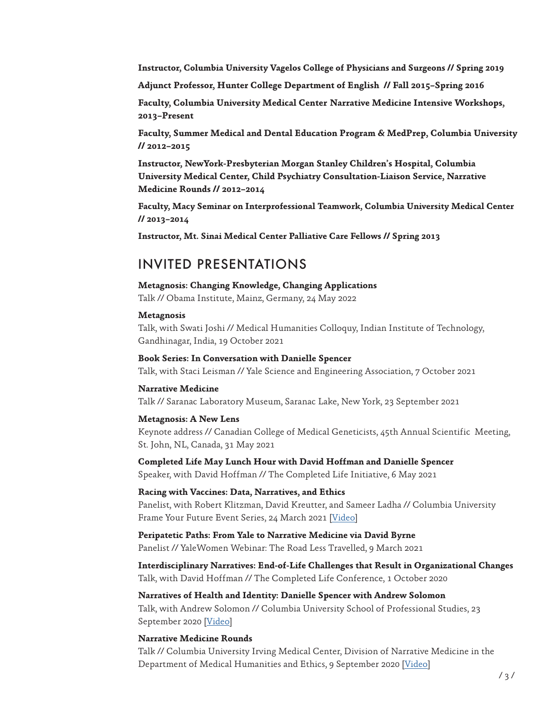**Instructor, Columbia University Vagelos College of Physicians and Surgeons // Spring 2019**

**Adjunct Professor, Hunter College Department of English // Fall 2015–Spring 2016**

**Faculty, Columbia University Medical Center Narrative Medicine Intensive Workshops, 2013–Present**

**Faculty, Summer Medical and Dental Education Program & MedPrep, Columbia University // 2012–2015**

**Instructor, NewYork-Presbyterian Morgan Stanley Children's Hospital, Columbia University Medical Center, Child Psychiatry Consultation-Liaison Service, Narrative Medicine Rounds // 2012–2014**

**Faculty, Macy Seminar on Interprofessional Teamwork, Columbia University Medical Center // 2013–2014**

**Instructor, Mt. Sinai Medical Center Palliative Care Fellows // Spring 2013**

# INVITED PRESENTATIONS

#### **Metagnosis: Changing Knowledge, Changing Applications**

Talk // Obama Institute, Mainz, Germany, 24 May 2022

# **Metagnosis**

Talk, with Swati Joshi // Medical Humanities Colloquy, Indian Institute of Technology, Gandhinagar, India, 19 October 2021

# **Book Series: In Conversation with Danielle Spencer**

Talk, with Staci Leisman // Yale Science and Engineering Association, 7 October 2021

#### **Narrative Medicine**

Talk // Saranac Laboratory Museum, Saranac Lake, New York, 23 September 2021

# **Metagnosis: A New Lens**

Keynote address // Canadian College of Medical Geneticists, 45th Annual Scientific Meeting, St. John, NL, Canada, 31 May 2021

**Completed Life May Lunch Hour with David Hoffman and Danielle Spencer** Speaker, with David Hoffman // The Completed Life Initiative, 6 May 2021

# **Racing with Vaccines: Data, Narratives, and Ethics**

Panelist, with Robert Klitzman, David Kreutter, and Sameer Ladha // Columbia University Frame Your Future Event Series, 24 March 2021 [[Video](https://www.youtube.com/watch?v=ZBuVSOFC8CI&t=2190s)]

**Peripatetic Paths: From Yale to Narrative Medicine via David Byrne** Panelist // YaleWomen Webinar: The Road Less Travelled, 9 March 2021

**Interdisciplinary Narratives: End-of-Life Challenges that Result in Organizational Changes** Talk, with David Hoffman // The Completed Life Conference, 1 October 2020

# **Narratives of Health and Identity: Danielle Spencer with Andrew Solomon**

Talk, with Andrew Solomon // Columbia University School of Professional Studies, 23 September 2020 [\[Video\]](https://www.youtube.com/watch?v=-aGQjL24wKI&t=1147s)

# **Narrative Medicine Rounds**

Talk // Columbia University Irving Medical Center, Division of Narrative Medicine in the Department of Medical Humanities and Ethics, 9 September 2020 [[Video](https://www.youtube.com/watch?v=TKjJAJyv4Kk&t=2346s)]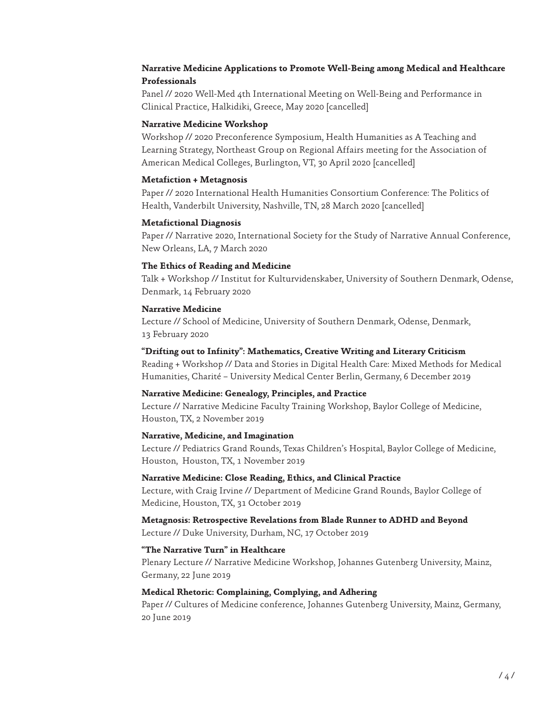# **Narrative Medicine Applications to Promote Well-Being among Medical and Healthcare Professionals**

Panel // 2020 Well-Med 4th International Meeting on Well-Being and Performance in Clinical Practice, Halkidiki, Greece, May 2020 [cancelled]

# **Narrative Medicine Workshop**

Workshop // 2020 Preconference Symposium, Health Humanities as A Teaching and Learning Strategy, Northeast Group on Regional Affairs meeting for the Association of American Medical Colleges, Burlington, VT, 30 April 2020 [cancelled]

# **Metafiction + Metagnosis**

Paper // 2020 International Health Humanities Consortium Conference: The Politics of Health, Vanderbilt University, Nashville, TN, 28 March 2020 [cancelled]

# **Metafictional Diagnosis**

Paper // Narrative 2020, International Society for the Study of Narrative Annual Conference, New Orleans, LA, 7 March 2020

# **The Ethics of Reading and Medicine**

Talk + Workshop // Institut for Kulturvidenskaber, University of Southern Denmark, Odense, Denmark, 14 February 2020

# **Narrative Medicine**

Lecture // School of Medicine, University of Southern Denmark, Odense, Denmark, 13 February 2020

### **"Drifting out to Infinity": Mathematics, Creative Writing and Literary Criticism**

Reading + Workshop // Data and Stories in Digital Health Care: Mixed Methods for Medical Humanities, Charité – University Medical Center Berlin, Germany, 6 December 2019

#### **Narrative Medicine: Genealogy, Principles, and Practice**

Lecture // Narrative Medicine Faculty Training Workshop, Baylor College of Medicine, Houston, TX, 2 November 2019

#### **Narrative, Medicine, and Imagination**

Lecture // Pediatrics Grand Rounds, Texas Children's Hospital, Baylor College of Medicine, Houston, Houston, TX, 1 November 2019

#### **Narrative Medicine: Close Reading, Ethics, and Clinical Practice**

Lecture, with Craig Irvine // Department of Medicine Grand Rounds, Baylor College of Medicine, Houston, TX, 31 October 2019

# **Metagnosis: Retrospective Revelations from Blade Runner to ADHD and Beyond**

Lecture // Duke University, Durham, NC, 17 October 2019

# **"The Narrative Turn" in Healthcare**

Plenary Lecture // Narrative Medicine Workshop, Johannes Gutenberg University, Mainz, Germany, 22 June 2019

# **Medical Rhetoric: Complaining, Complying, and Adhering**

Paper // Cultures of Medicine conference, Johannes Gutenberg University, Mainz, Germany, 20 June 2019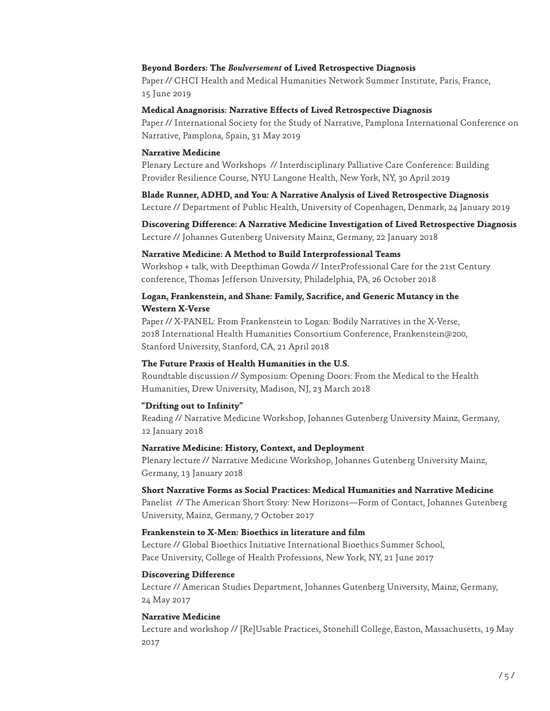#### **Beyond Borders: The** *Boulversement* **of Lived Retrospective Diagnosis**

Paper // CHCI Health and Medical Humanities Network Summer Institute, Paris, France, 15 June 2019

#### **Medical Anagnorisis: Narrative Effects of Lived Retrospective Diagnosis**

Paper // International Society for the Study of Narrative, Pamplona International Conference on Narrative, Pamplona, Spain, 31 May 2019

#### **Narrative Medicine**

Plenary Lecture and Workshops // Interdisciplinary Palliative Care Conference: Building Provider Resilience Course, NYU Langone Health, New York, NY, 30 April 2019

**Blade Runner, ADHD, and You: A Narrative Analysis of Lived Retrospective Diagnosis** Lecture // Department of Public Health, University of Copenhagen, Denmark, 24 January 2019

**Discovering Difference: A Narrative Medicine Investigation of Lived Retrospective Diagnosis** Lecture // Johannes Gutenberg University Mainz, Germany, 22 January 2018

#### **Narrative Medicine: A Method to Build Interprofessional Teams**

Workshop + talk, with Deepthiman Gowda // InterProfessional Care for the 21st Century conference, Thomas Jefferson University, Philadelphia, PA, 26 October 2018

# **Logan, Frankenstein, and Shane: Family, Sacrifice, and Generic Mutancy in the Western X-Verse**

Paper // X-PANEL: From Frankenstein to Logan: Bodily Narratives in the X-Verse, 2018 International Health Humanities Consortium Conference, Frankenstein@200, Stanford University, Stanford, CA, 21 April 2018

# **The Future Praxis of Health Humanities in the U.S.**

Roundtable discussion // Symposium: Opening Doors: From the Medical to the Health Humanities, Drew University, Madison, NJ, 23 March 2018

#### **"Drifting out to Infinity"**

Reading // Narrative Medicine Workshop, Johannes Gutenberg University Mainz, Germany, 12 January 2018

#### **Narrative Medicine: History, Context, and Deployment**

Plenary lecture // Narrative Medicine Workshop, Johannes Gutenberg University Mainz, Germany, 13 January 2018

#### **Short Narrative Forms as Social Practices: Medical Humanities and Narrative Medicine**

Panelist // The American Short Story: New Horizons—Form of Contact, Johannes Gutenberg University, Mainz, Germany, 7 October 2017

### **Frankenstein to X-Men: Bioethics in literature and film**

Lecture // Global Bioethics Initiative International Bioethics Summer School, Pace University, College of Health Professions, New York, NY, 21 June 2017

#### **Discovering Difference**

Lecture // American Studies Department, Johannes Gutenberg University, Mainz, Germany, 24 May 2017

#### **Narrative Medicine**

Lecture and workshop // [Re]Usable Practices, Stonehill College, Easton, Massachusetts, 19 May 2017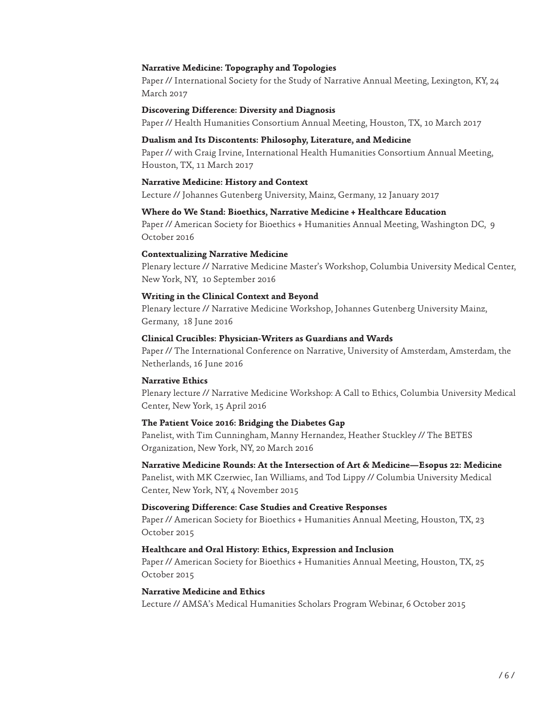#### **Narrative Medicine: Topography and Topologies**

Paper // International Society for the Study of Narrative Annual Meeting, Lexington, KY, 24 March 2017

#### **Discovering Difference: Diversity and Diagnosis**

Paper // Health Humanities Consortium Annual Meeting, Houston, TX, 10 March 2017

#### **Dualism and Its Discontents: Philosophy, Literature, and Medicine**

Paper // with Craig Irvine, International Health Humanities Consortium Annual Meeting, Houston, TX, 11 March 2017

#### **Narrative Medicine: History and Context**

Lecture // Johannes Gutenberg University, Mainz, Germany, 12 January 2017

### **Where do We Stand: Bioethics, Narrative Medicine + Healthcare Education**

Paper // American Society for Bioethics + Humanities Annual Meeting, Washington DC, 9 October 2016

#### **Contextualizing Narrative Medicine**

Plenary lecture // Narrative Medicine Master's Workshop, Columbia University Medical Center, New York, NY, 10 September 2016

#### **Writing in the Clinical Context and Beyond**

Plenary lecture // Narrative Medicine Workshop, Johannes Gutenberg University Mainz, Germany, 18 June 2016

### **Clinical Crucibles: Physician-Writers as Guardians and Wards**

Paper // The International Conference on Narrative, University of Amsterdam, Amsterdam, the Netherlands, 16 June 2016

#### **Narrative Ethics**

Plenary lecture // Narrative Medicine Workshop: A Call to Ethics, Columbia University Medical Center, New York, 15 April 2016

#### **The Patient Voice 2016: Bridging the Diabetes Gap**

Panelist, with Tim Cunningham, Manny Hernandez, Heather Stuckley // The BETES Organization, New York, NY, 20 March 2016

# **Narrative Medicine Rounds: At the Intersection of Art & Medicine—Esopus 22: Medicine**

Panelist, with MK Czerwiec, Ian Williams, and Tod Lippy // Columbia University Medical Center, New York, NY, 4 November 2015

#### **Discovering Difference: Case Studies and Creative Responses**

Paper // American Society for Bioethics + Humanities Annual Meeting, Houston, TX, 23 October 2015

#### **Healthcare and Oral History: Ethics, Expression and Inclusion**

Paper // American Society for Bioethics + Humanities Annual Meeting, Houston, TX, 25 October 2015

# **Narrative Medicine and Ethics**

Lecture // AMSA's Medical Humanities Scholars Program Webinar, 6 October 2015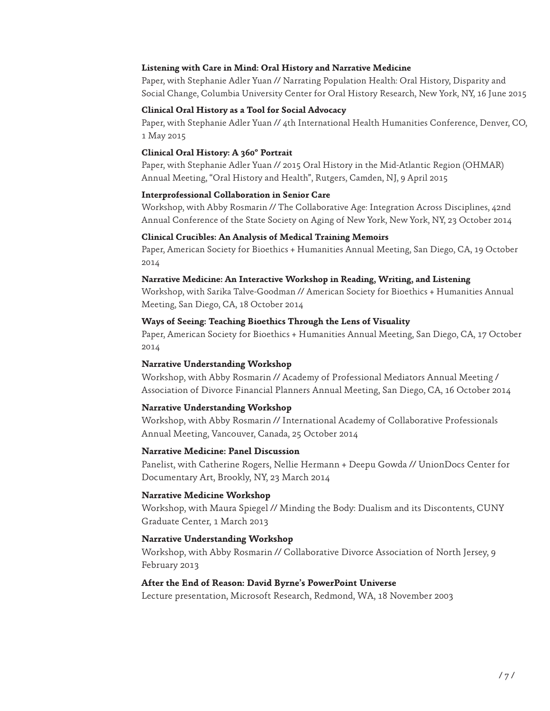#### **Listening with Care in Mind: Oral History and Narrative Medicine**

Paper, with Stephanie Adler Yuan // Narrating Population Health: Oral History, Disparity and Social Change, Columbia University Center for Oral History Research, New York, NY, 16 June 2015

#### **Clinical Oral History as a Tool for Social Advocacy**

Paper, with Stephanie Adler Yuan // 4th International Health Humanities Conference, Denver, CO, 1 May 2015

# **Clinical Oral History: A 360º Portrait**

Paper, with Stephanie Adler Yuan // 2015 Oral History in the Mid-Atlantic Region (OHMAR) Annual Meeting, "Oral History and Health", Rutgers, Camden, NJ, 9 April 2015

# **Interprofessional Collaboration in Senior Care**

Workshop, with Abby Rosmarin // The Collaborative Age: Integration Across Disciplines, 42nd Annual Conference of the State Society on Aging of New York, New York, NY, 23 October 2014

# **Clinical Crucibles: An Analysis of Medical Training Memoirs**

Paper, American Society for Bioethics + Humanities Annual Meeting, San Diego, CA, 19 October 2014

# **Narrative Medicine: An Interactive Workshop in Reading, Writing, and Listening**

Workshop, with Sarika Talve-Goodman // American Society for Bioethics + Humanities Annual Meeting, San Diego, CA, 18 October 2014

# **Ways of Seeing: Teaching Bioethics Through the Lens of Visuality**

Paper, American Society for Bioethics + Humanities Annual Meeting, San Diego, CA, 17 October 2014

# **Narrative Understanding Workshop**

Workshop, with Abby Rosmarin // Academy of Professional Mediators Annual Meeting / Association of Divorce Financial Planners Annual Meeting, San Diego, CA, 16 October 2014

# **Narrative Understanding Workshop**

Workshop, with Abby Rosmarin // International Academy of Collaborative Professionals Annual Meeting, Vancouver, Canada, 25 October 2014

#### **Narrative Medicine: Panel Discussion**

Panelist, with Catherine Rogers, Nellie Hermann + Deepu Gowda // UnionDocs Center for Documentary Art, Brookly, NY, 23 March 2014

# **Narrative Medicine Workshop**

Workshop, with Maura Spiegel // Minding the Body: Dualism and its Discontents, CUNY Graduate Center, 1 March 2013

# **Narrative Understanding Workshop**

Workshop, with Abby Rosmarin // Collaborative Divorce Association of North Jersey, 9 February 2013

#### **After the End of Reason: David Byrne's PowerPoint Universe**

Lecture presentation, Microsoft Research, Redmond, WA, 18 November 2003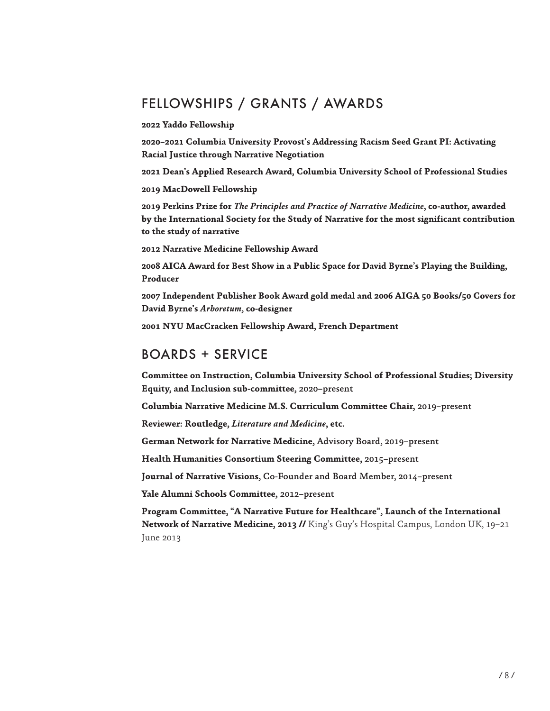# FELLOWSHIPS / GRANTS / AWARDS

**2022 Yaddo Fellowship**

**2020–2021 Columbia University Provost's Addressing Racism Seed Grant PI: Activating Racial Justice through Narrative Negotiation**

**2021 Dean's Applied Research Award, Columbia University School of Professional Studies**

**2019 MacDowell Fellowship**

**2019 Perkins Prize for** *The Principles and Practice of Narrative Medicine***, co-author, awarded by the International Society for the Study of Narrative for the most significant contribution to the study of narrative**

**2012 Narrative Medicine Fellowship Award**

**2008 AICA Award for Best Show in a Public Space for David Byrne's Playing the Building, Producer**

**2007 Independent Publisher Book Award gold medal and 2006 AIGA 50 Books/50 Covers for David Byrne's** *Arboretum***, co-designer**

**2001 NYU MacCracken Fellowship Award, French Department** 

# BOARDS + SERVICE

**Committee on Instruction, Columbia University School of Professional Studies; Diversity Equity, and Inclusion sub-committee,** 2020–present

**Columbia Narrative Medicine M.S. Curriculum Committee Chair,** 2019–present

**Reviewer: Routledge,** *Literature and Medicine***, etc.**

**German Network for Narrative Medicine,** Advisory Board, 2019–present

**Health Humanities Consortium Steering Committee,** 2015–present

**Journal of Narrative Visions,** Co-Founder and Board Member, 2014–present

**Yale Alumni Schools Committee,** 2012–present

**Program Committee, "A Narrative Future for Healthcare", Launch of the International Network of Narrative Medicine, 2013 //** King's Guy's Hospital Campus, London UK, 19–21 June 2013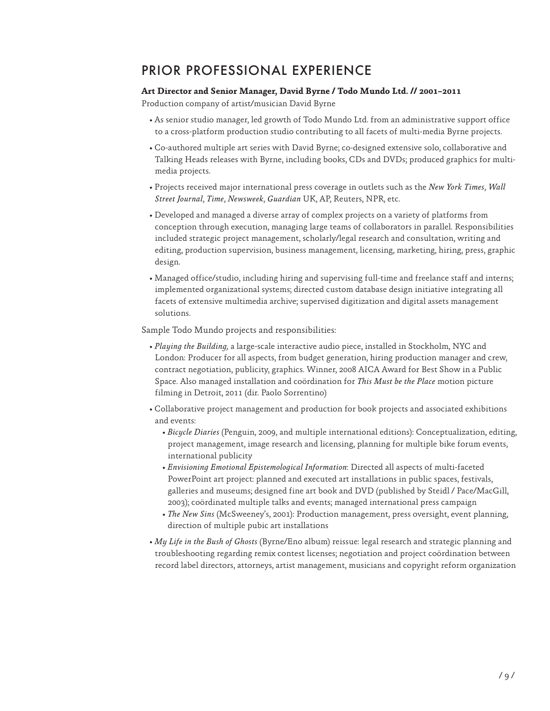# PRIOR PROFESSIONAL EXPERIENCE

### **Art Director and Senior Manager, David Byrne / Todo Mundo Ltd. // 2001–2011**

Production company of artist/musician David Byrne

- As senior studio manager, led growth of Todo Mundo Ltd. from an administrative support office to a cross-platform production studio contributing to all facets of multi-media Byrne projects.
- Co-authored multiple art series with David Byrne; co-designed extensive solo, collaborative and Talking Heads releases with Byrne, including books, CDs and DVDs; produced graphics for multimedia projects.
- Projects received major international press coverage in outlets such as the *New York Times*, *Wall Street Journal*, *Time*, *Newsweek*, *Guardian* UK, AP, Reuters, NPR, etc.
- Developed and managed a diverse array of complex projects on a variety of platforms from conception through execution, managing large teams of collaborators in parallel. Responsibilities included strategic project management, scholarly/legal research and consultation, writing and editing, production supervision, business management, licensing, marketing, hiring, press, graphic design.
- Managed office/studio, including hiring and supervising full-time and freelance staff and interns; implemented organizational systems; directed custom database design initiative integrating all facets of extensive multimedia archive; supervised digitization and digital assets management solutions.

Sample Todo Mundo projects and responsibilities:

- *Playing the Building,* a large-scale interactive audio piece, installed in Stockholm, NYC and London: Producer for all aspects, from budget generation, hiring production manager and crew, contract negotiation, publicity, graphics. Winner, 2008 AICA Award for Best Show in a Public Space. Also managed installation and coördination for *This Must be the Place* motion picture filming in Detroit, 2011 (dir. Paolo Sorrentino)
- Collaborative project management and production for book projects and associated exhibitions and events:
	- *Bicycle Diaries* (Penguin, 2009, and multiple international editions): Conceptualization, editing, project management, image research and licensing, planning for multiple bike forum events, international publicity
	- *Envisioning Emotional Epistemological Information*: Directed all aspects of multi-faceted PowerPoint art project: planned and executed art installations in public spaces, festivals, galleries and museums; designed fine art book and DVD (published by Steidl / Pace/MacGill, 2003); coördinated multiple talks and events; managed international press campaign
	- *The New Sins* (McSweeney's, 2001): Production management, press oversight, event planning, direction of multiple pubic art installations
- *My Life in the Bush of Ghosts* (Byrne/Eno album) reissue: legal research and strategic planning and troubleshooting regarding remix contest licenses; negotiation and project coördination between record label directors, attorneys, artist management, musicians and copyright reform organization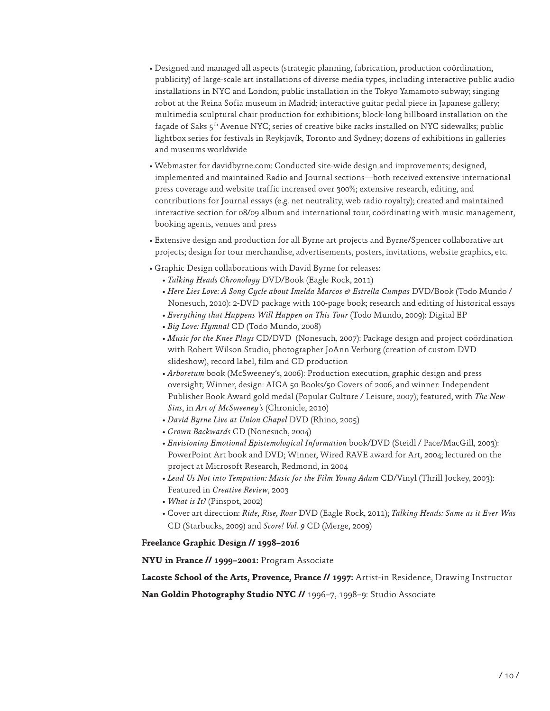- Designed and managed all aspects (strategic planning, fabrication, production coördination, publicity) of large-scale art installations of diverse media types, including interactive public audio installations in NYC and London; public installation in the Tokyo Yamamoto subway; singing robot at the Reina Sofia museum in Madrid; interactive guitar pedal piece in Japanese gallery; multimedia sculptural chair production for exhibitions; block-long billboard installation on the façade of Saks 5th Avenue NYC; series of creative bike racks installed on NYC sidewalks; public lightbox series for festivals in Reykjavík, Toronto and Sydney; dozens of exhibitions in galleries and museums worldwide
- Webmaster for davidbyrne.com: Conducted site-wide design and improvements; designed, implemented and maintained Radio and Journal sections—both received extensive international press coverage and website traffic increased over 300%; extensive research, editing, and contributions for Journal essays (e.g. net neutrality, web radio royalty); created and maintained interactive section for 08/09 album and international tour, coördinating with music management, booking agents, venues and press
- Extensive design and production for all Byrne art projects and Byrne/Spencer collaborative art projects; design for tour merchandise, advertisements, posters, invitations, website graphics, etc.
- Graphic Design collaborations with David Byrne for releases:
	- *Talking Heads Chronology* DVD/Book (Eagle Rock, 2011)
	- *Here Lies Love: A Song Cycle about Imelda Marcos & Estrella Cumpas* DVD/Book (Todo Mundo / Nonesuch, 2010): 2-DVD package with 100-page book; research and editing of historical essays
	- *Everything that Happens Will Happen on This Tour* (Todo Mundo, 2009): Digital EP
	- *Big Love: Hymnal* CD (Todo Mundo, 2008)
	- *Music for the Knee Plays* CD/DVD (Nonesuch, 2007): Package design and project coördination with Robert Wilson Studio, photographer JoAnn Verburg (creation of custom DVD slideshow), record label, film and CD production
	- *Arboretum* book (McSweeney's, 2006): Production execution, graphic design and press oversight; Winner, design: AIGA 50 Books/50 Covers of 2006, and winner: Independent Publisher Book Award gold medal (Popular Culture / Leisure, 2007); featured, with *The New Sins*, in *Art of McSweeney's* (Chronicle, 2010)
	- *David Byrne Live at Union Chapel* DVD (Rhino, 2005)
	- *Grown Backwards* CD (Nonesuch, 2004)
	- *Envisioning Emotional Epistemological Information* book/DVD (Steidl / Pace/MacGill, 2003): PowerPoint Art book and DVD; Winner, Wired RAVE award for Art, 2004; lectured on the project at Microsoft Research, Redmond, in 2004
	- *Lead Us Not into Tempation: Music for the Film Young Adam* CD/Vinyl (Thrill Jockey, 2003): Featured in *Creative Review*, 2003
	- *What is It?* (Pinspot, 2002)
	- Cover art direction: *Ride, Rise, Roar* DVD (Eagle Rock, 2011); *Talking Heads: Same as it Ever Was*  CD (Starbucks, 2009) and *Score! Vol. 9* CD (Merge, 2009)

#### **Freelance Graphic Design // 1998–2016**

**NYU in France // 1999–2001:** Program Associate

**Lacoste School of the Arts, Provence, France // 1997:** Artist-in Residence, Drawing Instructor

**Nan Goldin Photography Studio NYC //** 1996–7, 1998–9: Studio Associate